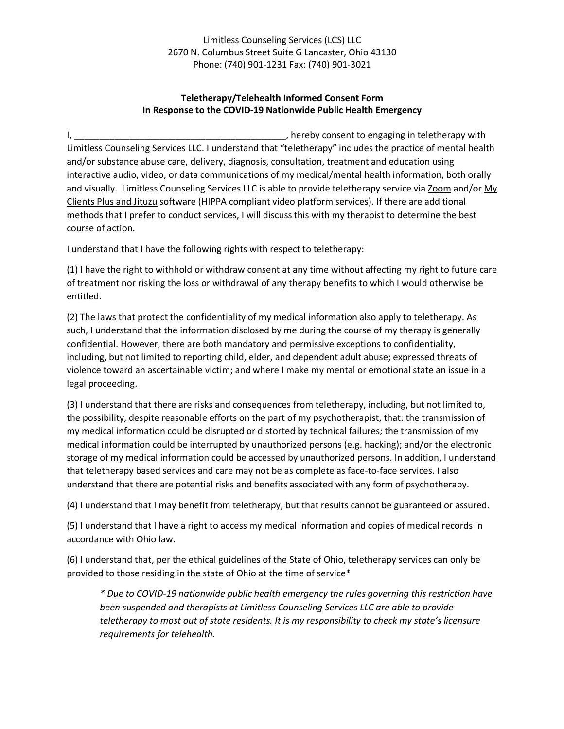## **Teletherapy/Telehealth Informed Consent Form In Response to the COVID-19 Nationwide Public Health Emergency**

I, \_\_\_\_\_\_\_\_\_\_\_\_\_\_\_\_\_\_\_\_\_\_\_\_\_\_\_\_\_\_\_\_\_\_\_\_\_\_\_\_\_\_, hereby consent to engaging in teletherapy with Limitless Counseling Services LLC. I understand that "teletherapy" includes the practice of mental health and/or substance abuse care, delivery, diagnosis, consultation, treatment and education using interactive audio, video, or data communications of my medical/mental health information, both orally and visually. Limitless Counseling Services LLC is able to provide teletherapy service via Zoom and/or My Clients Plus and Jituzu software (HIPPA compliant video platform services). If there are additional methods that I prefer to conduct services, I will discuss this with my therapist to determine the best course of action.

I understand that I have the following rights with respect to teletherapy:

(1) I have the right to withhold or withdraw consent at any time without affecting my right to future care of treatment nor risking the loss or withdrawal of any therapy benefits to which I would otherwise be entitled.

(2) The laws that protect the confidentiality of my medical information also apply to teletherapy. As such, I understand that the information disclosed by me during the course of my therapy is generally confidential. However, there are both mandatory and permissive exceptions to confidentiality, including, but not limited to reporting child, elder, and dependent adult abuse; expressed threats of violence toward an ascertainable victim; and where I make my mental or emotional state an issue in a legal proceeding.

(3) I understand that there are risks and consequences from teletherapy, including, but not limited to, the possibility, despite reasonable efforts on the part of my psychotherapist, that: the transmission of my medical information could be disrupted or distorted by technical failures; the transmission of my medical information could be interrupted by unauthorized persons (e.g. hacking); and/or the electronic storage of my medical information could be accessed by unauthorized persons. In addition, I understand that teletherapy based services and care may not be as complete as face-to-face services. I also understand that there are potential risks and benefits associated with any form of psychotherapy.

(4) I understand that I may benefit from teletherapy, but that results cannot be guaranteed or assured.

(5) I understand that I have a right to access my medical information and copies of medical records in accordance with Ohio law.

(6) I understand that, per the ethical guidelines of the State of Ohio, teletherapy services can only be provided to those residing in the state of Ohio at the time of service\*

*\* Due to COVID-19 nationwide public health emergency the rules governing this restriction have been suspended and therapists at Limitless Counseling Services LLC are able to provide teletherapy to most out of state residents. It is my responsibility to check my state's licensure requirements for telehealth.*